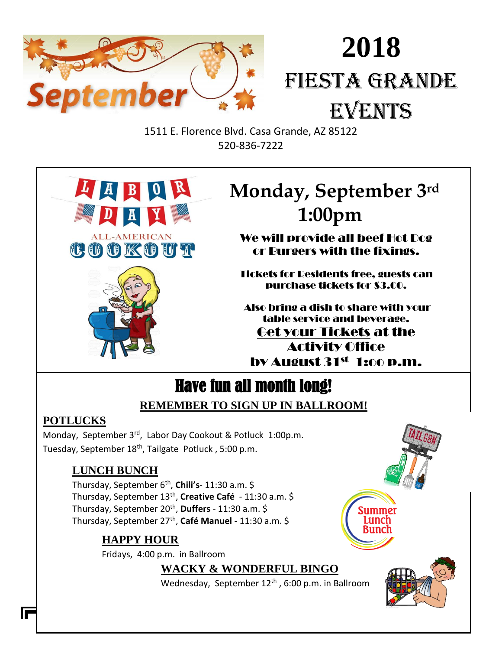

# **2018** FIESTA GRANDE EVENTS

1511 E. Florence Blvd. Casa Grande, AZ 85122 520-836-7222



# **E Monday, September 3rd 1:00pm**

We will provide all beef Hot Dog or Burgers with the fixings.

Tickets for Residents free, guests can purchase tickets for \$3.00.

Also bring a dish to share with your table service and beverage. Get your Tickets at the Activity Office by August 31st 1:oo p.m.

# Have fun all month long!

# **REMEMBER TO SIGN UP IN BALLROOM!**

# **POTLUCKS**

Monday, September 3rd, Labor Day Cookout & Potluck 1:00p.m. Tuesday, September 18<sup>th</sup>, Tailgate Potluck, 5:00 p.m.

# **LUNCH BUNCH**

Thursday, September 6th , **Chili's**- 11:30 a.m. \$ Thursday, September 13<sup>th</sup>, **Creative Café** - 11:30 a.m. \$ Thursday, September 20th , **Duffers** - 11:30 a.m. \$ Thursday, September 27<sup>th</sup>, **Café Manuel** - 11:30 a.m. \$

# **HAPPY HOUR**

Fridays, 4:00 p.m. in Ballroom

**WACKY & WONDERFUL BINGO**

Wednesday, September 12<sup>th</sup>, 6:00 p.m. in Ballroom



summer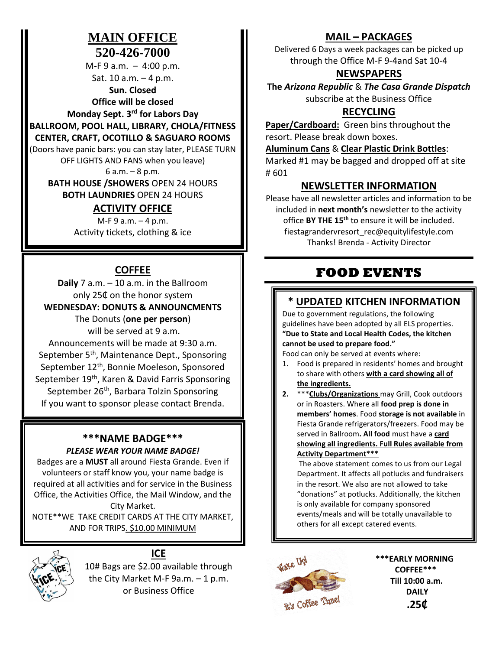## **MAIN OFFICE 520-426-7000**

M-F 9 a.m. – 4:00 p.m. Sat. 10 a.m. – 4 p.m.

**Sun. Closed Office will be closed** 

**Monday Sept. 3rd for Labors Day BALLROOM, POOL HALL, LIBRARY, CHOLA/FITNESS** 

#### **CENTER, CRAFT, OCOTILLO & SAGUARO ROOMS**

(Doors have panic bars: you can stay later, PLEASE TURN

OFF LIGHTS AND FANS when you leave)

6 a.m. – 8 p.m.

**BATH HOUSE /SHOWERS** OPEN 24 HOURS **BOTH LAUNDRIES** OPEN 24 HOURS

## **ACTIVITY OFFICE**

 $M-F9$  a.m.  $-4$  p.m. Activity tickets, clothing & ice

## **COFFEE**

**Daily** 7 a.m. – 10 a.m. in the Ballroom only 25₵ on the honor system **WEDNESDAY: DONUTS & ANNOUNCMENTS**

> The Donuts (**one per person**) will be served at 9 a.m.

Announcements will be made at 9:30 a.m. September 5<sup>th</sup>, Maintenance Dept., Sponsoring September 12<sup>th</sup>, Bonnie Moeleson, Sponsored September 19<sup>th</sup>, Karen & David Farris Sponsoring September 26<sup>th</sup>, Barbara Tolzin Sponsoring If you want to sponsor please contact Brenda.

#### **\*\*\*NAME BADGE\*\*\*** *PLEASE WEAR YOUR NAME BADGE!*

Badges are a **MUST** all around Fiesta Grande. Even if volunteers or staff know you, your name badge is required at all activities and for service in the Business Office, the Activities Office, the Mail Window, and the City Market.

NOTE\*\*WE TAKE CREDIT CARDS AT THE CITY MARKET, AND FOR TRIPS. \$10.00 MINIMUM



# **ICE**

10# Bags are \$2.00 available through the City Market M-F 9a.m. – 1 p.m. or Business Office

## **MAIL – PACKAGES**

Delivered 6 Days a week packages can be picked up through the Office M-F 9-4and Sat 10-4

## **NEWSPAPERS**

**The** *Arizona Republic* & *The Casa Grande Dispatch* subscribe at the Business Office

## **RECYCLING**

**Paper/Cardboard:** Green bins throughout the resort. Please break down boxes.

## **Aluminum Cans** & **Clear Plastic Drink Bottles**:

Marked #1 may be bagged and dropped off at site # 601

## **NEWSLETTER INFORMATION**

Please have all newsletter articles and information to be included in **next month's** newsletter to the activity office **BY THE 15th** to ensure it will be included. fiestagrandervresort\_rec@equitylifestyle.com Thanks! Brenda - Activity Director

# **FOOD EVENTS**

# **\* UPDATED KITCHEN INFORMATION**

Due to government regulations, the following guidelines have been adopted by all ELS properties. **"Due to State and Local Health Codes, the kitchen cannot be used to prepare food."**

Food can only be served at events where:

- 1. Food is prepared in residents' homes and brought to share with others **with a card showing all of the ingredients.**
- **2.** \*\*\***Clubs/Organizations** may Grill, Cook outdoors or in Roasters. Where all **food prep is done in members' homes**. Food **storage is not available** in Fiesta Grande refrigerators/freezers. Food may be served in Ballroom**. All food** must have a **card showing all ingredients. Full Rules available from Activity Department\*\*\***

The above statement comes to us from our Legal Department. It affects all potlucks and fundraisers in the resort. We also are not allowed to take "donations" at potlucks. Additionally, the kitchen is only available for company sponsored events/meals and will be totally unavailable to others for all except catered events.



**\*\*\*EARLY MORNING COFFEE\*\*\* Till 10:00 a.m. DAILY .25₵**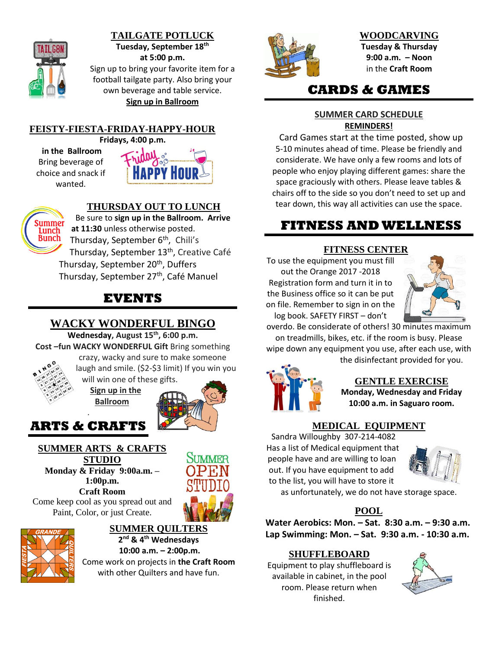

#### **TAILGATE POTLUCK Tuesday, September 18th at 5:00 p.m.**

Sign up to bring your favorite item for a football tailgate party. Also bring your own beverage and table service. **Sign up in Ballroom**

**FEISTY-FIESTA-FRIDAY-HAPPY-HOUR**

**Fridays, 4:00 p.m.** 

**in the Ballroom** Bring beverage of choice and snack if wanted.





## **THURSDAY OUT TO LUNCH**

 Be sure to **sign up in the Ballroom. Arrive at 11:30** unless otherwise posted. Thursday, September 6<sup>th</sup>, Chili's Thursday, September 13<sup>th</sup>, Creative Café Thursday, September 20<sup>th</sup>, Duffers Thursday, September 27<sup>th</sup>, Café Manuel

# **EVENTS**

## **WACKY WONDERFUL BINGO**

**Wednesday, August 15th , 6:00 p.m.**

**Cost –fun WACKY WONDERFUL Gift** Bring something crazy, wacky and sure to make someone laugh and smile. (\$2-\$3 limit) If you win you

will win one of the[se gifts.](http://www.google.com/url?sa=i&rct=j&q=&esrc=s&source=images&cd=&cad=rja&uact=8&ved=2ahUKEwi6hqHLutHcAhXaGDQIHRyvCzgQjRx6BAgBEAU&url=http://mzayat.com/clipart/ancient-clipart-olympic.html&psig=AOvVaw0zhczO6op_ojc8qoy7GQj6&ust=1533405420324517)

**Sign up in the Ballroom**



## . **ARTS & CRAFTS**

## **SUMMER ARTS & CRAFTS STUDIO**

**Monday & Friday 9:00a.m. – 1:00p.m. Craft Room**

Come keep cool as you spread out and Paint, Color, or just Create.





# **SUMMER QUILTERS 2 nd & 4th Wednesdays**

**10:00 a.m. – 2:00p.m.** Come work on projects in **the Craft Room**  with other Quilters and have fun.



**WOODCARVING Tuesday & Thursday 9:00 a.m. – Noon** in the **Craft Room**

# **CARDS & GAMES**

#### **SUMMER CARD SCHEDULE REMINDERS!**

 Card Games start at the time posted, show up 5-10 minutes ahead of time. Please be friendly and considerate. We have only a few rooms and lots of people who enjoy playing different games: share the space graciously with others. Please leave tables & chairs off to the side so you don't need to set up and tear down, this way all activities can use the space.

# **FITNESS AND WELLNESS**

## **FITNESS CENTER**

To use the equipment you must fill out the Orange 2017 -2018 Registration form and turn it in to the Business office so it can be put on file. Remember to sign in on the log book. SAFETY FIRST – don't



overdo. Be considerate of others! 30 minutes maximum on treadmills, bikes, etc. if the room is busy. Please wipe down any equipment you use, after each use, with

the disinfectant provided for you.



**GENTLE EXERCISE Monday, Wednesday and Friday 10:00 a.m. in Saguaro room.**

## **MEDICAL EQUIPMENT**

Sandra Willoughby 307-214-4082 Has a list of Medical equipment that people have and are willing to loan out. If you have equipment to add to the list, you will have to store it



as unfortunately, we do not have storage space.

## **POOL**

**Water Aerobics: Mon. – Sat. 8:30 a.m. – 9:30 a.m. Lap Swimming: Mon. – Sat. 9:30 a.m. - 10:30 a.m.**

## **SHUFFLEBOARD**

Equipment to play shuffleboard is available in cabinet, in the pool room. Please return when finished.

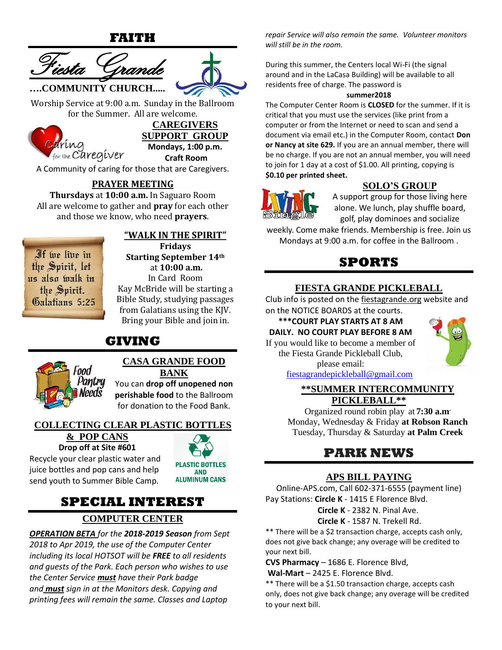**FAITH**





Worship Service at 9:00 a.m. Sunday in the Ballroom for the Summer. All are welcome.



**CAREGIVERS SUPPORT GROUP Mondays, 1:00 p.m. Craft Room**

A Community of caring for those that are Caregivers.

## **PRAYER MEETING**

**Thursdays** at **10:00 a.m.** In Saguaro Room All are welcome to gather and **pray** for each other and those we know, who need **prayers**.

If we live in the Spirit, let us also walk in the Spirit. Galatians 5:25

## **"WALK IN THE SPIRIT"**

**Fridays Starting September 14th** at **10:00 a.m.**  In Card Room Kay McBride will be starting a Bible Study, studying passages from Galatians using the KJV. Bring your Bible and join in.

# **GIVING**



#### **CASA GRANDE FOOD BANK**

You can **drop off unopened non perishable food** to the Ballroom for donation to the Food Bank.

#### **COLLECTING CLEAR PLASTIC BOTTLES**

#### **& POP CANS Drop off at Site #601**

Recycle your clear plastic water and juice bottles and pop cans and help send youth to Summer Bible Camp.



# **SPECIAL INTEREST**

## **COMPUTER CENTER**

*OPERATION BETA for the 2018-2019 Season from Sept 2018 to Apr 2019, the use of the Computer Center including its local HOTSOT will be FREE to all residents and guests of the Park. Each person who wishes to use the Center Service must have their Park badge and must sign in at the Monitors desk. Copying and printing fees will remain the same. Classes and Laptop* 

*repair Service will also remain the same. Volunteer monitors will still be in the room.*

During this summer, the Centers local Wi-Fi (the signal around and in the LaCasa Building) will be available to all residents free of charge. The password is

#### **summer2018**

The Computer Center Room is **CLOSED** for the summer. If it is critical that you must use the services (like print from a computer or from the Internet or need to scan and send a document via email etc.) in the Computer Room, contact **Don or Nancy at site 629.** If you are an annual member, there will be no charge. If you are not an annual member, you will need to join for 1 day at a cost of \$1.00. All printing, copying is **\$0.10 per printed sheet.**



## **SOLO'S GROUP**

A support group for those living here alone. We lunch, play shuffle board, golf, play dominoes and socialize

weekly. Come make friends. Membership is free. Join us Mondays at 9:00 a.m. for coffee in the Ballroom .

# **SPORTS**

#### **FIESTA GRANDE PICKLEBALL**

Club info is posted on the fiestagrande.org website and on the NOTICE BOARDS at the courts.

**\*\*\*COURT PLAY STARTS AT 8 AM DAILY. NO COURT PLAY BEFORE 8 AM**  If you would like to become a member of the Fiesta Grande Pickleball Club,

please email:



[fiestagrandepickleball@gmail.com](mailto:fiestagrandepickleball@gmail.com)

#### **\*\*SUMMER INTERCOMMUNITY PICKLEBALL\*\***

Organized round robin play at **7:30 a.m.** Monday, Wednesday & Friday **at Robson Ranch** Tuesday, Thursday & Saturday **at Palm Creek**

# **PARK NEWS**

## **APS BILL PAYING**

Online-APS.com, Call 602-371-6555 (payment line) Pay Stations: **Circle K** - 1415 E Florence Blvd.

 **Circle K** - 2382 N. Pinal Ave.

#### **Circle K** - 1587 N. Trekell Rd.

\*\* There will be a \$2 transaction charge, accepts cash only, does not give back change; any overage will be credited to your next bill.

**CVS Pharmacy** – 1686 E. Florence Blvd,

**Wal-Mart** – 2425 E. Florence Blvd.

\*\* There will be a \$1.50 transaction charge, accepts cash only, does not give back change; any overage will be credited to your next bill.